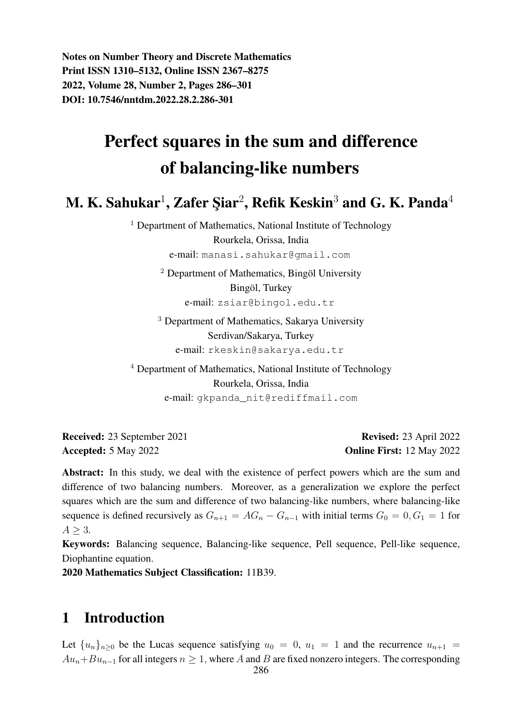Notes on Number Theory and Discrete Mathematics Print ISSN 1310–5132, Online ISSN 2367–8275 2022, Volume 28, Number 2, Pages 286–301 DOI: 10.7546/nntdm.2022.28.2.286-301

# Perfect squares in the sum and difference of balancing-like numbers

M. K. Sahukar $^1$ , Zafer Şiar $^2$ , Refik Keskin $^3$  and G. K. Panda $^4$ 

<sup>1</sup> Department of Mathematics, National Institute of Technology Rourkela, Orissa, India e-mail: manasi.sahukar@gmail.com

> $2$  Department of Mathematics, Bingöl University Bingöl, Turkey e-mail: zsiar@bingol.edu.tr

<sup>3</sup> Department of Mathematics, Sakarya University Serdivan/Sakarya, Turkey e-mail: rkeskin@sakarya.edu.tr

<sup>4</sup> Department of Mathematics, National Institute of Technology Rourkela, Orissa, India e-mail: gkpanda\_nit@rediffmail.com

Received: 23 September 2021 Revised: 23 April 2022 Accepted: 5 May 2022 **Online First:** 12 May 2022

Abstract: In this study, we deal with the existence of perfect powers which are the sum and difference of two balancing numbers. Moreover, as a generalization we explore the perfect squares which are the sum and difference of two balancing-like numbers, where balancing-like sequence is defined recursively as  $G_{n+1} = AG_n - G_{n-1}$  with initial terms  $G_0 = 0, G_1 = 1$  for  $A > 3$ .

Keywords: Balancing sequence, Balancing-like sequence, Pell sequence, Pell-like sequence, Diophantine equation.

2020 Mathematics Subject Classification: 11B39.

## 1 Introduction

Let  ${u_n}_{n>0}$  be the Lucas sequence satisfying  $u_0 = 0$ ,  $u_1 = 1$  and the recurrence  $u_{n+1} =$  $Au_n+Bu_{n-1}$  for all integers  $n \geq 1$ , where A and B are fixed nonzero integers. The corresponding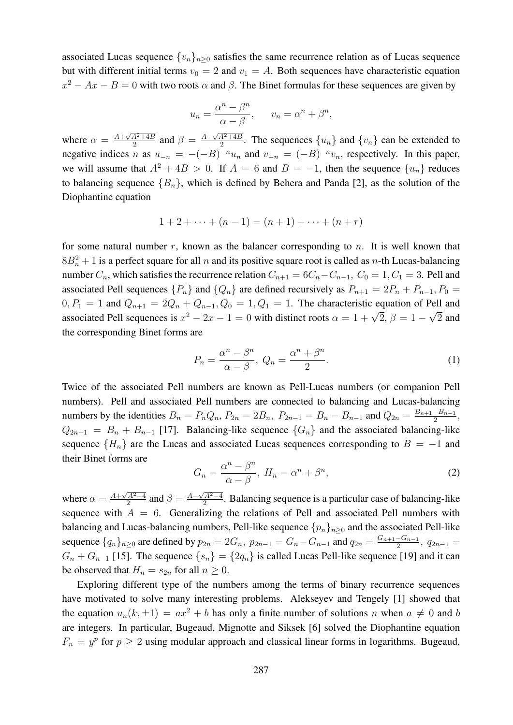associated Lucas sequence  ${v_n}_{n\geq 0}$  satisfies the same recurrence relation as of Lucas sequence but with different initial terms  $v_0 = 2$  and  $v_1 = A$ . Both sequences have characteristic equation  $x^2 - Ax - B = 0$  with two roots  $\alpha$  and  $\beta$ . The Binet formulas for these sequences are given by

$$
u_n = \frac{\alpha^n - \beta^n}{\alpha - \beta}, \qquad v_n = \alpha^n + \beta^n,
$$

where  $\alpha = \frac{A + \sqrt{A^2 + 4B}}{2}$  $\frac{A^2 + 4B}{2}$  and  $\beta = \frac{A - \sqrt{A^2 + 4B}}{2}$  $\frac{A^2+4B}{2}$ . The sequences  $\{u_n\}$  and  $\{v_n\}$  can be extended to negative indices n as  $u_{-n} = -(-B)^{-n}u_n$  and  $v_{-n} = (-B)^{-n}v_n$ , respectively. In this paper, we will assume that  $A^2 + 4B > 0$ . If  $A = 6$  and  $B = -1$ , then the sequence  $\{u_n\}$  reduces to balancing sequence  ${B_n}$ , which is defined by Behera and Panda [2], as the solution of the Diophantine equation

$$
1 + 2 + \dots + (n - 1) = (n + 1) + \dots + (n + r)
$$

for some natural number  $r$ , known as the balancer corresponding to  $n$ . It is well known that  $8B_n^2 + 1$  is a perfect square for all n and its positive square root is called as n-th Lucas-balancing number  $C_n$ , which satisfies the recurrence relation  $C_{n+1} = 6C_n - C_{n-1}$ ,  $C_0 = 1, C_1 = 3$ . Pell and associated Pell sequences  $\{P_n\}$  and  $\{Q_n\}$  are defined recursively as  $P_{n+1} = 2P_n + P_{n-1}$ ,  $P_0 =$  $0, P_1 = 1$  and  $Q_{n+1} = 2Q_n + Q_{n-1}, Q_0 = 1, Q_1 = 1$ . The characteristic equation of Pell and associated Pell sequences is  $x^2 - 2x - 1 = 0$  with distinct roots  $\alpha = 1 + \sqrt{2}$ ,  $\beta = 1 - \sqrt{2}$  and the corresponding Binet forms are

$$
P_n = \frac{\alpha^n - \beta^n}{\alpha - \beta}, \ Q_n = \frac{\alpha^n + \beta^n}{2}.
$$
 (1)

Twice of the associated Pell numbers are known as Pell-Lucas numbers (or companion Pell numbers). Pell and associated Pell numbers are connected to balancing and Lucas-balancing numbers by the identities  $B_n = P_n Q_n$ ,  $P_{2n} = 2B_n$ ,  $P_{2n-1} = B_n - B_{n-1}$  and  $Q_{2n} = \frac{B_{n+1} - B_{n-1}}{2}$  $\frac{-B_{n-1}}{2},$  $Q_{2n-1} = B_n + B_{n-1}$  [17]. Balancing-like sequence  $\{G_n\}$  and the associated balancing-like sequence  ${H_n}$  are the Lucas and associated Lucas sequences corresponding to  $B = -1$  and their Binet forms are

$$
G_n = \frac{\alpha^n - \beta^n}{\alpha - \beta}, \ H_n = \alpha^n + \beta^n,\tag{2}
$$

where  $\alpha = \frac{A + \sqrt{A^2 - 4}}{2}$  $\frac{\sqrt{A^2-4}}{2}$  and  $\beta = \frac{A-\sqrt{A^2-4}}{2}$  $\frac{A^2-4}{2}$ . Balancing sequence is a particular case of balancing-like sequence with  $A = 6$ . Generalizing the relations of Pell and associated Pell numbers with balancing and Lucas-balancing numbers, Pell-like sequence  $\{p_n\}_{n\geq 0}$  and the associated Pell-like sequence  ${q_n}_{n\geq 0}$  are defined by  $p_{2n} = 2G_n$ ,  $p_{2n-1} = G_n - G_{n-1}$  and  $q_{2n} = \frac{G_{n+1} - G_{n-1}}{2}$  $\frac{-G_{n-1}}{2}, q_{2n-1} =$  $G_n + G_{n-1}$  [15]. The sequence  $\{s_n\} = \{2q_n\}$  is called Lucas Pell-like sequence [19] and it can be observed that  $H_n = s_{2n}$  for all  $n \geq 0$ .

Exploring different type of the numbers among the terms of binary recurrence sequences have motivated to solve many interesting problems. Alekseyev and Tengely [1] showed that the equation  $u_n(k, \pm 1) = ax^2 + b$  has only a finite number of solutions n when  $a \neq 0$  and b are integers. In particular, Bugeaud, Mignotte and Siksek [6] solved the Diophantine equation  $F_n = y^p$  for  $p \ge 2$  using modular approach and classical linear forms in logarithms. Bugeaud,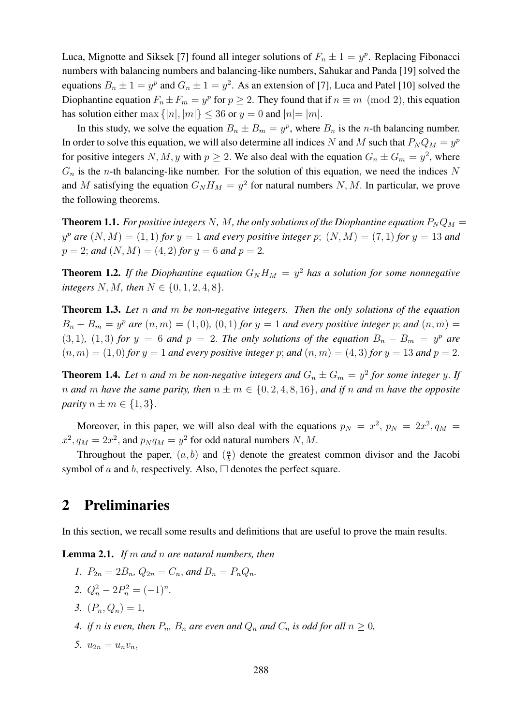Luca, Mignotte and Siksek [7] found all integer solutions of  $F_n \pm 1 = y^p$ . Replacing Fibonacci numbers with balancing numbers and balancing-like numbers, Sahukar and Panda [19] solved the equations  $B_n \pm 1 = y^p$  and  $G_n \pm 1 = y^2$ . As an extension of [7], Luca and Patel [10] solved the Diophantine equation  $F_n \pm F_m = y^p$  for  $p \ge 2$ . They found that if  $n \equiv m \pmod{2}$ , this equation has solution either max  $\{|n|, |m|\} \leq 36$  or  $y = 0$  and  $|n| = |m|$ .

In this study, we solve the equation  $B_n \pm B_m = y^p$ , where  $B_n$  is the *n*-th balancing number. In order to solve this equation, we will also determine all indices N and M such that  $P_N Q_M = y^p$ for positive integers N, M, y with  $p \ge 2$ . We also deal with the equation  $G_n \pm G_m = y^2$ , where  $G_n$  is the *n*-th balancing-like number. For the solution of this equation, we need the indices N and M satisfying the equation  $G_N H_M = y^2$  for natural numbers N, M. In particular, we prove the following theorems.

**Theorem 1.1.** For positive integers N, M, the only solutions of the Diophantine equation  $P_N Q_M =$  $y^p$  are  $(N, M) = (1, 1)$  for  $y = 1$  and every positive integer p;  $(N, M) = (7, 1)$  for  $y = 13$  and  $p = 2$ ; and  $(N, M) = (4, 2)$  for  $y = 6$  and  $p = 2$ .

**Theorem 1.2.** If the Diophantine equation  $G_N H_M = y^2$  has a solution for some nonnegative *integers*  $N, M$ *, then*  $N \in \{0, 1, 2, 4, 8\}$ *.* 

Theorem 1.3. *Let* n *and* m *be non-negative integers. Then the only solutions of the equation*  $B_n + B_m = y^p$  are  $(n, m) = (1, 0)$ ,  $(0, 1)$  for  $y = 1$  and every positive integer p; and  $(n, m) =$  $(3, 1)$ ,  $(1, 3)$  *for*  $y = 6$  *and*  $p = 2$ . *The only solutions of the equation*  $B_n - B_m = y^p$  *are*  $(n, m) = (1, 0)$  *for*  $y = 1$  *and every positive integer* p; *and*  $(n, m) = (4, 3)$  *for*  $y = 13$  *and*  $p = 2$ .

**Theorem 1.4.** Let n and m be non-negative integers and  $G_n \pm G_m = y^2$  for some integer y. If *n* and *m* have the same parity, then  $n \pm m \in \{0, 2, 4, 8, 16\}$ , and if *n* and *m* have the opposite *parity*  $n \pm m \in \{1, 3\}.$ 

Moreover, in this paper, we will also deal with the equations  $p_N = x^2$ ,  $p_N = 2x^2$ ,  $q_M =$  $x^2$ ,  $q_M = 2x^2$ , and  $p_N q_M = y^2$  for odd natural numbers N, M.

Throughout the paper,  $(a, b)$  and  $\left(\frac{a}{b}\right)$  $\frac{a}{b}$ ) denote the greatest common divisor and the Jacobi symbol of a and b, respectively. Also,  $\Box$  denotes the perfect square.

# 2 Preliminaries

In this section, we recall some results and definitions that are useful to prove the main results.

Lemma 2.1. *If* m *and* n *are natural numbers, then*

- *1.*  $P_{2n} = 2B_n$ ,  $Q_{2n} = C_n$ , and  $B_n = P_n Q_n$ .
- 2.  $Q_n^2 2P_n^2 = (-1)^n$ .
- *3.*  $(P_n, Q_n) = 1$ ,
- *4. if n is even, then*  $P_n$ *,*  $B_n$  *are even and*  $Q_n$  *and*  $C_n$  *is odd for all*  $n \geq 0$ *,*
- 5.  $u_{2n} = u_n v_n$ ,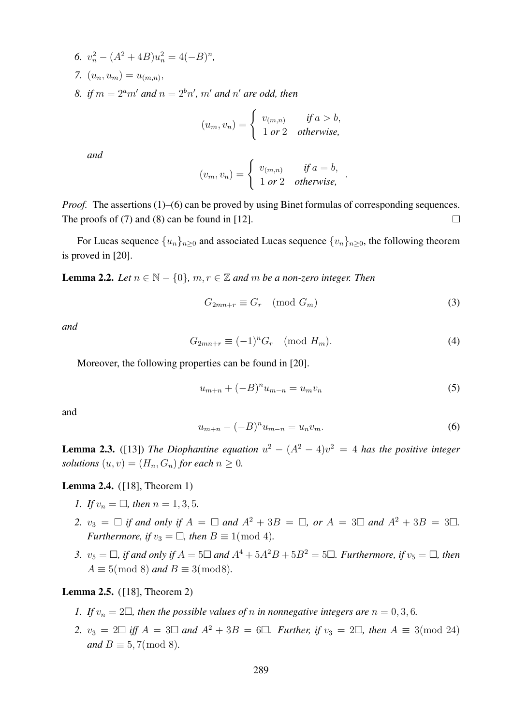- 6.  $v_n^2 (A^2 + 4B)u_n^2 = 4(-B)^n$ , 7.  $(u_n, u_m) = u_{(m,n)}$
- 8. if  $m = 2<sup>a</sup>m'$  and  $n = 2<sup>b</sup>n'$ ,  $m'$  and  $n'$  are odd, then

$$
(u_m, v_n) = \begin{cases} v_{(m,n)} & \text{if } a > b, \\ 1 \text{ or } 2 & \text{otherwise,} \end{cases}
$$

*and*

$$
(v_m, v_n) = \begin{cases} v_{(m,n)} & \text{if } a = b, \\ 1 \text{ or } 2 & \text{otherwise,} \end{cases}
$$

*Proof.* The assertions (1)–(6) can be proved by using Binet formulas of corresponding sequences. The proofs of (7) and (8) can be found in [12].  $\Box$ 

For Lucas sequence  ${u_n}_{n>0}$  and associated Lucas sequence  ${v_n}_{n>0}$ , the following theorem is proved in [20].

**Lemma 2.2.** *Let*  $n \in \mathbb{N} - \{0\}$ ,  $m, r \in \mathbb{Z}$  *and*  $m$  *be a non-zero integer. Then* 

$$
G_{2mn+r} \equiv G_r \pmod{G_m} \tag{3}
$$

.

*and*

$$
G_{2mn+r} \equiv (-1)^n G_r \pmod{H_m}.
$$
 (4)

Moreover, the following properties can be found in [20].

$$
u_{m+n} + (-B)^n u_{m-n} = u_m v_n \tag{5}
$$

and

$$
u_{m+n} - (-B)^n u_{m-n} = u_n v_m.
$$
 (6)

**Lemma 2.3.** ([13]) The Diophantine equation  $u^2 - (A^2 - 4)v^2 = 4$  has the positive integer *solutions*  $(u, v) = (H_n, G_n)$  *for each*  $n \geq 0$ *.* 

#### Lemma 2.4. ([18], Theorem 1)

- *1.* If  $v_n = \Box$ , then  $n = 1, 3, 5$ .
- 2.  $v_3 = \Box$  *if and only if*  $A = \Box$  *and*  $A^2 + 3B = \Box$ , *or*  $A = 3 \Box$  *and*  $A^2 + 3B = 3 \Box$ . *Furthermore, if*  $v_3 = \Box$ *, then*  $B \equiv 1 \pmod{4}$ *.*
- *3.*  $v_5 = \Box$ , if and only if  $A = 5 \Box$  and  $A^4 + 5A^2B + 5B^2 = 5 \Box$ . Furthermore, if  $v_5 = \Box$ , then  $A \equiv 5 \pmod{8}$  *and*  $B \equiv 3 \pmod{8}$ .

#### Lemma 2.5. ([18], Theorem 2)

- *1. If*  $v_n = 2\Box$ , then the possible values of n in nonnegative integers are  $n = 0, 3, 6$ .
- *2.*  $v_3 = 2\Box$  *iff*  $A = 3\Box$  *and*  $A^2 + 3B = 6\Box$ . *Further, if*  $v_3 = 2\Box$ , *then*  $A \equiv 3 \pmod{24}$ *and*  $B \equiv 5, 7 \pmod{8}$ .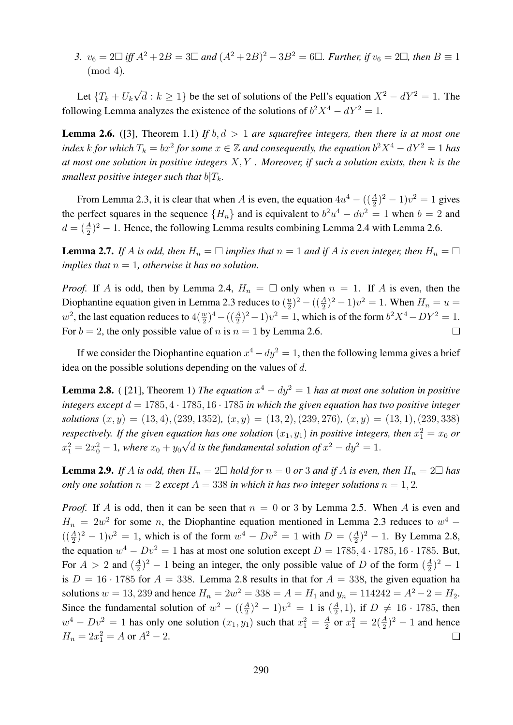*3.*  $v_6 = 2 \Box$  *iff*  $A^2 + 2B = 3 \Box$  and  $(A^2 + 2B)^2 - 3B^2 = 6 \Box$ . Further, if  $v_6 = 2 \Box$ , then B ≡ 1 (mod 4)*.*

Let  $\{T_k+U_k\}$ √  $\overline{d}: k \geq 1$ } be the set of solutions of the Pell's equation  $X^2 - dY^2 = 1$ . The following Lemma analyzes the existence of the solutions of  $b^2X^4 - dY^2 = 1$ .

**Lemma 2.6.** ([3], Theorem 1.1) *If*  $b, d > 1$  *are squarefree integers, then there is at most one index*  $k$  *for which*  $T_k = bx^2$  *for some*  $x \in \mathbb{Z}$  *and consequently, the equation*  $b^2 X^4 - dY^2 = 1$  *has at most one solution in positive integers* X, Y *. Moreover, if such a solution exists, then* k *is the smallest positive integer such that*  $b|T_k$ *.* 

From Lemma 2.3, it is clear that when A is even, the equation  $4u^4 - ((\frac{A}{2})^2 - 1)v^2 = 1$  gives the perfect squares in the sequence  ${H_n}$  and is equivalent to  $b^2u^4 - dv^2 = 1$  when  $b = 2$  and  $d = (\frac{A}{2})^2 - 1$ . Hence, the following Lemma results combining Lemma 2.4 with Lemma 2.6.

**Lemma 2.7.** If A is odd, then  $H_n = \square$  implies that  $n = 1$  and if A is even integer, then  $H_n = \square$ *implies that*  $n = 1$ *, otherwise it has no solution.* 

*Proof.* If A is odd, then by Lemma 2.4,  $H_n = \Box$  only when  $n = 1$ . If A is even, then the Diophantine equation given in Lemma 2.3 reduces to  $(\frac{u}{2})$  $(\frac{u}{2})^2 - ((\frac{A}{2})^2 - 1)v^2 = 1$ . When  $H_n = u =$  $w^2$ , the last equation reduces to  $4(\frac{w}{2})^4 - ((\frac{A}{2})^2 - 1)v^2 = 1$ , which is of the form  $b^2X^4 - DY^2 = 1$ . For  $b = 2$ , the only possible value of n is  $n = 1$  by Lemma 2.6.  $\Box$ 

If we consider the Diophantine equation  $x^4 - dy^2 = 1$ , then the following lemma gives a brief idea on the possible solutions depending on the values of d.

**Lemma 2.8.** ([21], Theorem 1) *The equation*  $x^4 - dy^2 = 1$  *has at most one solution in positive integers except*  $d = 1785, 4 \cdot 1785, 16 \cdot 1785$  *in which the given equation has two positive integer solutions*  $(x, y) = (13, 4), (239, 1352), (x, y) = (13, 2), (239, 276), (x, y) = (13, 1), (239, 338)$ *respectively. If the given equation has one solution*  $(x_1, y_1)$  *in positive integers, then*  $x_1^2 = x_0$  *or*  $x_1^2 = 2x_0^2 - 1$ , where  $x_0 + y_0\sqrt{d}$  is the fundamental solution of  $x^2 - dy^2 = 1$ .

**Lemma 2.9.** If A is odd, then  $H_n = 2\square$  hold for  $n = 0$  or 3 and if A is even, then  $H_n = 2\square$  has *only one solution*  $n = 2$  *except*  $A = 338$  *in which it has two integer solutions*  $n = 1, 2$ *.* 

*Proof.* If A is odd, then it can be seen that  $n = 0$  or 3 by Lemma 2.5. When A is even and  $H_n = 2w^2$  for some n, the Diophantine equation mentioned in Lemma 2.3 reduces to  $w^4$  –  $\left(\frac{A}{2}\right)^2 - 1)v^2 = 1$ , which is of the form  $w^4 - Dv^2 = 1$  with  $D = \left(\frac{A}{2}\right)^2 - 1$ . By Lemma 2.8, the equation  $w^4 - Dv^2 = 1$  has at most one solution except  $D = 1785, 4 \cdot 1785, 16 \cdot 1785$ . But, For  $A > 2$  and  $\left(\frac{A}{2}\right)$  $\frac{A}{2}$ )<sup>2</sup> – 1 being an integer, the only possible value of D of the form  $(\frac{A}{2})$  $(\frac{A}{2})^2-1$ is  $D = 16 \cdot 1785$  for  $A = 338$ . Lemma 2.8 results in that for  $A = 338$ , the given equation ha solutions  $w = 13,239$  and hence  $H_n = 2w^2 = 338 = A = H_1$  and  $y_n = 114242 = A^2 - 2 = H_2$ . Since the fundamental solution of  $w^2 - ((\frac{A}{2})^2 - 1)v^2 = 1$  is  $(\frac{A}{2})$  $(\frac{A}{2}, 1)$ , if  $D \neq 16 \cdot 1785$ , then  $w^4 - Dv^2 = 1$  has only one solution  $(x_1, y_1)$  such that  $x_1^2 = \frac{A}{2}$  $\frac{A}{2}$  or  $x_1^2 = 2(\frac{A}{2})^2 - 1$  and hence  $H_n = 2x_1^2 = A$  or  $A^2 - 2$ .  $\Box$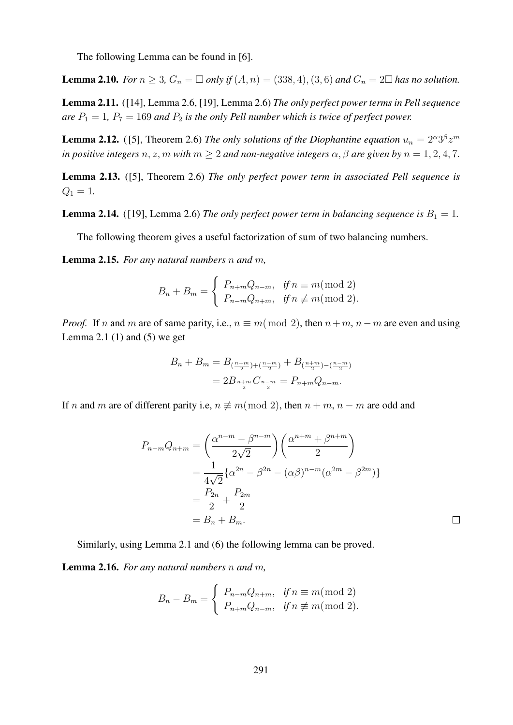The following Lemma can be found in [6].

**Lemma 2.10.** *For*  $n \ge 3$ ,  $G_n = \Box$  *only if*  $(A, n) = (338, 4)$ ,  $(3, 6)$  *and*  $G_n = 2 \Box$  *has no solution.* 

Lemma 2.11. ([14], Lemma 2.6, [19], Lemma 2.6) *The only perfect power terms in Pell sequence are*  $P_1 = 1$ ,  $P_7 = 169$  *and*  $P_2$  *is the only Pell number which is twice of perfect power.* 

**Lemma 2.12.** ([5], Theorem 2.6) *The only solutions of the Diophantine equation*  $u_n = 2^{\alpha}3^{\beta}z^m$ *in positive integers*  $n, z, m$  *with*  $m \geq 2$  *and non-negative integers*  $\alpha, \beta$  *are given by*  $n = 1, 2, 4, 7$ .

Lemma 2.13. ([5], Theorem 2.6) *The only perfect power term in associated Pell sequence is*  $Q_1 = 1.$ 

**Lemma 2.14.** ([19], Lemma 2.6) *The only perfect power term in balancing sequence is*  $B_1 = 1$ *.* 

The following theorem gives a useful factorization of sum of two balancing numbers.

Lemma 2.15. *For any natural numbers* n *and* m*,*

$$
B_n + B_m = \begin{cases} P_{n+m}Q_{n-m}, & \text{if } n \equiv m \text{ (mod 2)} \\ P_{n-m}Q_{n+m}, & \text{if } n \not\equiv m \text{ (mod 2)}. \end{cases}
$$

*Proof.* If n and m are of same parity, i.e.,  $n \equiv m \pmod{2}$ , then  $n + m$ ,  $n - m$  are even and using Lemma 2.1  $(1)$  and  $(5)$  we get

$$
B_n + B_m = B_{(\frac{n+m}{2}) + (\frac{n-m}{2})} + B_{(\frac{n+m}{2}) - (\frac{n-m}{2})}
$$
  
=  $2B_{\frac{n+m}{2}}C_{\frac{n-m}{2}} = P_{n+m}Q_{n-m}.$ 

If n and m are of different parity i.e,  $n \neq m \pmod{2}$ , then  $n + m$ ,  $n - m$  are odd and

$$
P_{n-m}Q_{n+m} = \left(\frac{\alpha^{n-m} - \beta^{n-m}}{2\sqrt{2}}\right) \left(\frac{\alpha^{n+m} + \beta^{n+m}}{2}\right)
$$
  
=  $\frac{1}{4\sqrt{2}} \{\alpha^{2n} - \beta^{2n} - (\alpha\beta)^{n-m}(\alpha^{2m} - \beta^{2m})\}$   
=  $\frac{P_{2n}}{2} + \frac{P_{2m}}{2}$   
=  $B_n + B_m$ .

 $\Box$ 

Similarly, using Lemma 2.1 and (6) the following lemma can be proved.

Lemma 2.16. *For any natural numbers* n *and* m*,*

$$
B_n - B_m = \begin{cases} P_{n-m}Q_{n+m}, & \text{if } n \equiv m \text{ (mod 2)}\\ P_{n+m}Q_{n-m}, & \text{if } n \not\equiv m \text{ (mod 2)}. \end{cases}
$$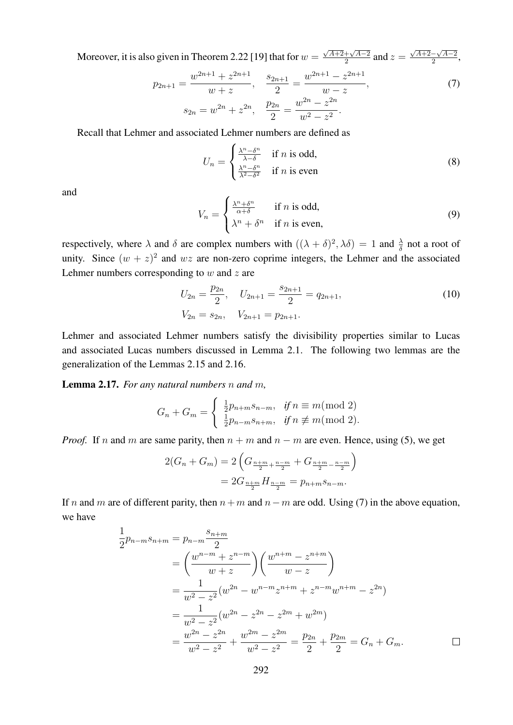Moreover, it is also given in Theorem 2.22 [19] that for  $w =$  $\sqrt{A+2}+\sqrt{A-2}$  $\frac{+\sqrt{A-2}}{2}$  and  $z=$  $\sqrt{A+2}-\sqrt{A-2}$  $\frac{-\sqrt{A-2}}{2}$ ,

$$
p_{2n+1} = \frac{w^{2n+1} + z^{2n+1}}{w + z}, \quad \frac{s_{2n+1}}{2} = \frac{w^{2n+1} - z^{2n+1}}{w - z},
$$
  
\n
$$
s_{2n} = w^{2n} + z^{2n}, \quad \frac{p_{2n}}{2} = \frac{w^{2n} - z^{2n}}{w^2 - z^2}.
$$
\n(7)

Recall that Lehmer and associated Lehmer numbers are defined as

$$
U_n = \begin{cases} \frac{\lambda^n - \delta^n}{\lambda - \delta} & \text{if } n \text{ is odd,} \\ \frac{\lambda^n - \delta^n}{\lambda^2 - \delta^2} & \text{if } n \text{ is even} \end{cases}
$$
 (8)

and

$$
V_n = \begin{cases} \frac{\lambda^n + \delta^n}{\alpha + \delta} & \text{if } n \text{ is odd,} \\ \lambda^n + \delta^n & \text{if } n \text{ is even,} \end{cases}
$$
(9)

respectively, where  $\lambda$  and  $\delta$  are complex numbers with  $((\lambda + \delta)^2, \lambda \delta) = 1$  and  $\frac{\lambda}{\delta}$  not a root of unity. Since  $(w + z)^2$  and wz are non-zero coprime integers, the Lehmer and the associated Lehmer numbers corresponding to  $w$  and  $z$  are

$$
U_{2n} = \frac{p_{2n}}{2}, \quad U_{2n+1} = \frac{s_{2n+1}}{2} = q_{2n+1},
$$
  
\n
$$
V_{2n} = s_{2n}, \quad V_{2n+1} = p_{2n+1}.
$$
\n(10)

Lehmer and associated Lehmer numbers satisfy the divisibility properties similar to Lucas and associated Lucas numbers discussed in Lemma 2.1. The following two lemmas are the generalization of the Lemmas 2.15 and 2.16.

Lemma 2.17. *For any natural numbers* n *and* m*,*

$$
G_n + G_m = \begin{cases} \frac{1}{2}p_{n+m}s_{n-m}, & \text{if } n \equiv m \text{ (mod 2)}\\ \frac{1}{2}p_{n-m}s_{n+m}, & \text{if } n \not\equiv m \text{ (mod 2)}. \end{cases}
$$

*Proof.* If n and m are same parity, then  $n + m$  and  $n - m$  are even. Hence, using (5), we get

$$
2(G_n + G_m) = 2\left(G_{\frac{n+m}{2} + \frac{n-m}{2}} + G_{\frac{n+m}{2} - \frac{n-m}{2}}\right)
$$
  
= 
$$
2G_{\frac{n+m}{2}}H_{\frac{n-m}{2}} = p_{n+m}s_{n-m}.
$$

If n and m are of different parity, then  $n+m$  and  $n-m$  are odd. Using (7) in the above equation, we have

$$
\frac{1}{2}p_{n-m}s_{n+m} = p_{n-m}\frac{s_{n+m}}{2}
$$
\n
$$
= \left(\frac{w^{n-m} + z^{n-m}}{w + z}\right) \left(\frac{w^{n+m} - z^{n+m}}{w - z}\right)
$$
\n
$$
= \frac{1}{w^2 - z^2} (w^{2n} - w^{n-m}z^{n+m} + z^{n-m}w^{n+m} - z^{2n})
$$
\n
$$
= \frac{1}{w^2 - z^2} (w^{2n} - z^{2n} - z^{2m} + w^{2m})
$$
\n
$$
= \frac{w^{2n} - z^{2n}}{w^2 - z^2} + \frac{w^{2m} - z^{2m}}{w^2 - z^2} = \frac{p_{2n}}{2} + \frac{p_{2m}}{2} = G_n + G_m.
$$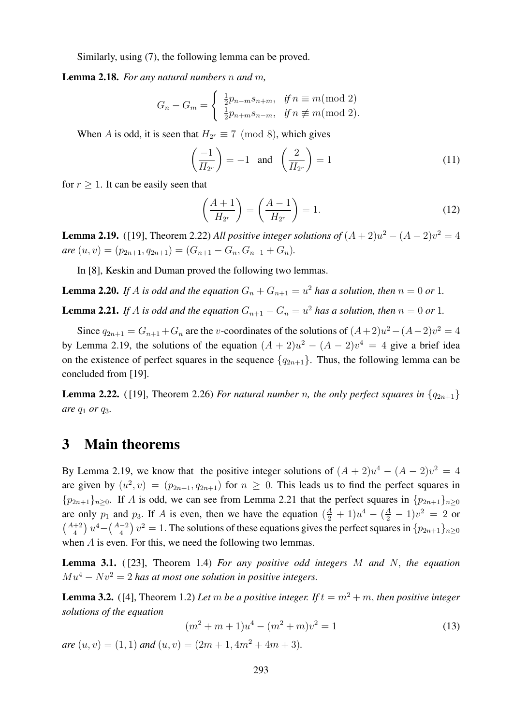Similarly, using (7), the following lemma can be proved.

Lemma 2.18. *For any natural numbers* n *and* m*,*

$$
G_n - G_m = \begin{cases} \frac{1}{2}p_{n-m}s_{n+m}, & \text{if } n \equiv m \pmod{2} \\ \frac{1}{2}p_{n+m}s_{n-m}, & \text{if } n \not\equiv m \pmod{2}. \end{cases}
$$

When A is odd, it is seen that  $H_{2r} \equiv 7 \pmod{8}$ , which gives

$$
\left(\frac{-1}{H_{2r}}\right) = -1 \quad \text{and} \quad \left(\frac{2}{H_{2r}}\right) = 1\tag{11}
$$

for  $r > 1$ . It can be easily seen that

$$
\left(\frac{A+1}{H_{2^r}}\right) = \left(\frac{A-1}{H_{2^r}}\right) = 1.
$$
\n(12)

**Lemma 2.19.** ([19], Theorem 2.22) *All positive integer solutions of*  $(A+2)u^2 - (A-2)v^2 = 4$ *are*  $(u, v) = (p_{2n+1}, q_{2n+1}) = (G_{n+1} - G_n, G_{n+1} + G_n).$ 

In [8], Keskin and Duman proved the following two lemmas.

**Lemma 2.20.** If A is odd and the equation  $G_n + G_{n+1} = u^2$  has a solution, then  $n = 0$  or 1.

**Lemma 2.21.** If A is odd and the equation  $G_{n+1} - G_n = u^2$  has a solution, then  $n = 0$  or 1.

Since  $q_{2n+1} = G_{n+1} + G_n$  are the *v*-coordinates of the solutions of  $(A+2)u^2 - (A-2)v^2 = 4$ by Lemma 2.19, the solutions of the equation  $(A + 2)u^2 - (A - 2)v^4 = 4$  give a brief idea on the existence of perfect squares in the sequence  ${q_{2n+1}}$ . Thus, the following lemma can be concluded from [19].

**Lemma 2.22.** ([19], Theorem 2.26) *For natural number n, the only perfect squares in*  $\{q_{2n+1}\}$ *are*  $q_1$  *or*  $q_3$ *.* 

### 3 Main theorems

By Lemma 2.19, we know that the positive integer solutions of  $(A + 2)u^4 - (A - 2)v^2 = 4$ are given by  $(u^2, v) = (p_{2n+1}, q_{2n+1})$  for  $n \ge 0$ . This leads us to find the perfect squares in  ${p_{2n+1}}_{n>0}$ . If A is odd, we can see from Lemma 2.21 that the perfect squares in  ${p_{2n+1}}_{n>0}$ are only  $p_1$  and  $p_3$ . If A is even, then we have the equation  $(\frac{A}{2} + 1)u^4 - (\frac{A}{2} - 1)v^2 = 2$  or  $\left(\frac{A+2}{4}\right)$  $\frac{+2}{4}$ )  $u^4 - \left(\frac{A-2}{4}\right)$  $\frac{(-2)}{4}v^2 = 1$ . The solutions of these equations gives the perfect squares in  $\{p_{2n+1}\}_{n\geq 0}$ when A is even. For this, we need the following two lemmas.

Lemma 3.1. ( [23], Theorem 1.4) *For any positive odd integers* M *and* N, *the equation*  $M u^4 - N v^2 = 2$  has at most one solution in positive integers.

**Lemma 3.2.** ([4], Theorem 1.2) Let m be a positive integer. If  $t = m^2 + m$ , then positive integer *solutions of the equation*

$$
(m2 + m + 1)u4 - (m2 + m)v2 = 1
$$
 (13)

*are*  $(u, v) = (1, 1)$  *and*  $(u, v) = (2m + 1, 4m^2 + 4m + 3)$ *.*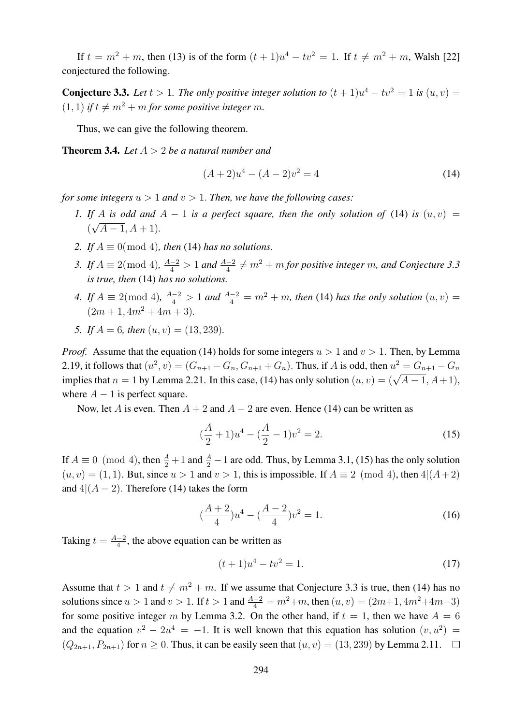If  $t = m^2 + m$ , then (13) is of the form  $(t + 1)u^4 - tv^2 = 1$ . If  $t \neq m^2 + m$ , Walsh [22] conjectured the following.

**Conjecture 3.3.** Let  $t > 1$ . The only positive integer solution to  $(t + 1)u^4 - tv^2 = 1$  is  $(u, v) =$  $(1, 1)$  *if*  $t \neq m^2 + m$  *for some positive integer m*.

Thus, we can give the following theorem.

**Theorem 3.4.** *Let*  $A > 2$  *be a natural number and* 

$$
(A+2)u4 - (A-2)v2 = 4
$$
 (14)

*for some integers*  $u > 1$  *and*  $v > 1$ *. Then, we have the following cases:* 

- *1.* If A is odd and  $A 1$  is a perfect square, then the only solution of (14) is  $(u, v) =$  $(\sqrt{A-1}, A+1)$ .
- 2. If  $A \equiv 0 \pmod{4}$ , then (14) has no solutions.
- 3. If  $A \equiv 2 \pmod{4}$ ,  $\frac{A-2}{4} > 1$  and  $\frac{A-2}{4} \neq m^2 + m$  for positive integer m, and Conjecture 3.3 *is true, then* (14) *has no solutions.*
- *4.* If  $A \equiv 2 \pmod{4}$ ,  $\frac{A-2}{4} > 1$  and  $\frac{A-2}{4} = m^2 + m$ , then (14) has the only solution  $(u, v) =$  $(2m + 1, 4m^2 + 4m + 3)$ .
- *5. If*  $A = 6$ *, then*  $(u, v) = (13, 239)$ *.*

*Proof.* Assume that the equation (14) holds for some integers  $u > 1$  and  $v > 1$ . Then, by Lemma 2.19, it follows that  $(u^2, v) = (G_{n+1} - G_n, G_{n+1} + G_n)$ . Thus, if A is odd, then  $u^2 = G_{n+1} - G_n$ implies that  $n = 1$  by Lemma 2.21. In this case, (14) has only solution  $(u, v) = (\sqrt{A-1}, A+1)$ , where  $A - 1$  is perfect square.

Now, let A is even. Then  $A + 2$  and  $A - 2$  are even. Hence (14) can be written as

$$
(\frac{A}{2} + 1)u^4 - (\frac{A}{2} - 1)v^2 = 2.
$$
 (15)

If  $A \equiv 0 \pmod{4}$ , then  $\frac{A}{2} + 1$  and  $\frac{A}{2} - 1$  are odd. Thus, by Lemma 3.1, (15) has the only solution  $(u, v) = (1, 1)$ . But, since  $u > 1$  and  $v > 1$ , this is impossible. If  $A \equiv 2 \pmod{4}$ , then  $4|(A+2)$ and  $4|(A-2)$ . Therefore (14) takes the form

$$
\left(\frac{A+2}{4}\right)u^4 - \left(\frac{A-2}{4}\right)v^2 = 1.
$$
\n(16)

Taking  $t = \frac{A-2}{4}$  $\frac{-2}{4}$ , the above equation can be written as

$$
(t+1)u^4 - tv^2 = 1.
$$
 (17)

Assume that  $t > 1$  and  $t \neq m^2 + m$ . If we assume that Conjecture 3.3 is true, then (14) has no solutions since  $u > 1$  and  $v > 1$ . If  $t > 1$  and  $\frac{A-2}{4} = m^2 + m$ , then  $(u, v) = (2m+1, 4m^2+4m+3)$ for some positive integer m by Lemma 3.2. On the other hand, if  $t = 1$ , then we have  $A = 6$ and the equation  $v^2 - 2u^4 = -1$ . It is well known that this equation has solution  $(v, u^2) =$  $(Q_{2n+1}, P_{2n+1})$  for  $n \ge 0$ . Thus, it can be easily seen that  $(u, v) = (13, 239)$  by Lemma 2.11.  $\Box$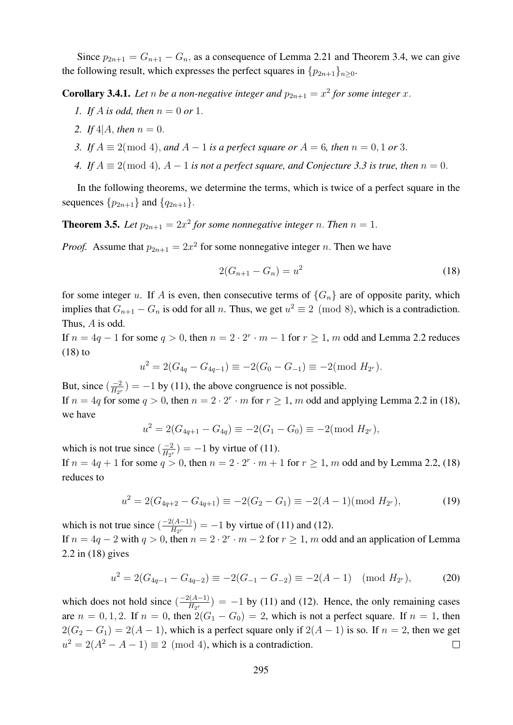Since  $p_{2n+1} = G_{n+1} - G_n$ , as a consequence of Lemma 2.21 and Theorem 3.4, we can give the following result, which expresses the perfect squares in  $\{p_{2n+1}\}_n>0$ .

**Corollary 3.4.1.** Let n be a non-negative integer and  $p_{2n+1} = x^2$  for some integer x.

- *1. If* A *is odd, then* n = 0 *or* 1.
- 2. If  $4|A$ , *then*  $n = 0$ .
- *3.* If  $A \equiv 2 \pmod{4}$ , and  $A 1$  is a perfect square or  $A = 6$ , then  $n = 0, 1$  or 3.
- *4.* If  $A \equiv 2 \pmod{4}$ ,  $A 1$  *is not a perfect square, and Conjecture 3.3 is true, then*  $n = 0$ .

In the following theorems, we determine the terms, which is twice of a perfect square in the sequences  $\{p_{2n+1}\}\$  and  $\{q_{2n+1}\}\$ .

**Theorem 3.5.** Let  $p_{2n+1} = 2x^2$  for some nonnegative integer n. Then  $n = 1$ .

*Proof.* Assume that  $p_{2n+1} = 2x^2$  for some nonnegative integer n. Then we have

$$
2(G_{n+1} - G_n) = u^2 \tag{18}
$$

for some integer u. If A is even, then consecutive terms of  ${G_n}$  are of opposite parity, which implies that  $G_{n+1} - G_n$  is odd for all n. Thus, we get  $u^2 \equiv 2 \pmod{8}$ , which is a contradiction. Thus, A is odd.

If  $n = 4q - 1$  for some  $q > 0$ , then  $n = 2 \cdot 2^r \cdot m - 1$  for  $r \ge 1$ , m odd and Lemma 2.2 reduces (18) to

$$
u^{2} = 2(G_{4q} - G_{4q-1}) \equiv -2(G_{0} - G_{-1}) \equiv -2(\text{mod } H_{2^{r}}).
$$

But, since  $\left(\frac{-2}{H_{\text{eq}}} \right)$  $\frac{-2}{H_{2r}}$ ) = -1 by (11), the above congruence is not possible. If  $n = 4q$  for some  $q > 0$ , then  $n = 2 \cdot 2^r \cdot m$  for  $r \ge 1$ , m odd and applying Lemma 2.2 in (18), we have

$$
u^{2} = 2(G_{4q+1} - G_{4q}) \equiv -2(G_{1} - G_{0}) \equiv -2(\text{mod } H_{2^{r}}),
$$

which is not true since  $\left(\frac{-2}{H_{02}}\right)$  $\frac{-2}{H_{2r}}$ ) = -1 by virtue of (11). If  $n = 4q + 1$  for some  $q > 0$ , then  $n = 2 \cdot 2^r \cdot m + 1$  for  $r \ge 1$ , m odd and by Lemma 2.2, (18) reduces to

$$
u^{2} = 2(G_{4q+2} - G_{4q+1}) \equiv -2(G_{2} - G_{1}) \equiv -2(A - 1) (\text{mod } H_{2^{r}}),
$$
\n(19)

which is not true since  $\left(\frac{-2(A-1)}{H_{\text{ext}}} \right)$  $\frac{H_{2r}}{H_{2r}}$  = -1 by virtue of (11) and (12).

If  $n = 4q - 2$  with  $q > 0$ , then  $n = 2 \cdot 2^r \cdot m - 2$  for  $r \ge 1$ , m odd and an application of Lemma 2.2 in (18) gives

$$
u^{2} = 2(G_{4q-1} - G_{4q-2}) \equiv -2(G_{-1} - G_{-2}) \equiv -2(A - 1) \pmod{H_{2^{r}}},
$$
 (20)

which does not hold since  $\left(\frac{-2(A-1)}{H_{\text{ext}}} \right)$  $\frac{H_2(H-1)}{H_2}$  = -1 by (11) and (12). Hence, the only remaining cases are  $n = 0, 1, 2$ . If  $n = 0$ , then  $2(G_1 - G_0) = 2$ , which is not a perfect square. If  $n = 1$ , then  $2(G_2 - G_1) = 2(A - 1)$ , which is a perfect square only if  $2(A - 1)$  is so. If  $n = 2$ , then we get  $u^2 = 2(A^2 - A - 1) \equiv 2 \pmod{4}$ , which is a contradiction.  $\Box$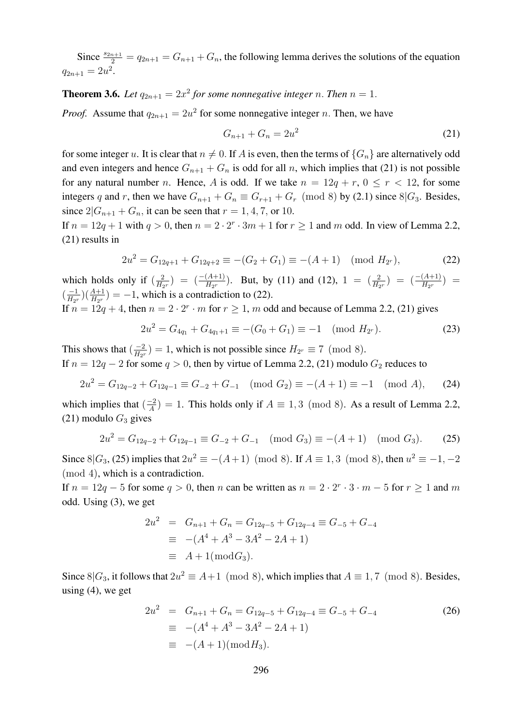Since  $\frac{s_{2n+1}}{2} = q_{2n+1} = G_{n+1} + G_n$ , the following lemma derives the solutions of the equation  $q_{2n+1} = 2u^2$ .

**Theorem 3.6.** Let  $q_{2n+1} = 2x^2$  for some nonnegative integer n. Then  $n = 1$ .

*Proof.* Assume that  $q_{2n+1} = 2u^2$  for some nonnegative integer n. Then, we have

$$
G_{n+1} + G_n = 2u^2 \tag{21}
$$

for some integer u. It is clear that  $n \neq 0$ . If A is even, then the terms of  ${G_n}$  are alternatively odd and even integers and hence  $G_{n+1} + G_n$  is odd for all n, which implies that (21) is not possible for any natural number n. Hence, A is odd. If we take  $n = 12q + r$ ,  $0 \le r < 12$ , for some integers q and r, then we have  $G_{n+1} + G_n \equiv G_{r+1} + G_r \pmod{8}$  by (2.1) since 8| $G_3$ . Besides, since  $2|G_{n+1} + G_n$ , it can be seen that  $r = 1, 4, 7$ , or 10.

If  $n = 12q + 1$  with  $q > 0$ , then  $n = 2 \cdot 2^r \cdot 3m + 1$  for  $r \ge 1$  and m odd. In view of Lemma 2.2, (21) results in

$$
2u^2 = G_{12q+1} + G_{12q+2} \equiv -(G_2 + G_1) \equiv -(A+1) \pmod{H_{2^r}},\tag{22}
$$

which holds only if  $\left(\frac{2}{H_c}\right)$  $\frac{2}{H_{2r}}$ ) =  $\left(\frac{-(A+1)}{H_{2r}}\right)$ . But, by (11) and (12), 1 =  $\left(\frac{2}{H_{2r}}\right)$  =  $\left(\frac{-(A+1)}{H_{2r}}\right)$  =  $\left(\frac{-1}{H_{\alpha\beta}}\right)$  $\frac{-1}{H_{2r}}\left(\frac{A+1}{H_{2r}}\right) = -1$ , which is a contradiction to (22).

If  $n = 12q + 4$ , then  $n = 2 \cdot 2^r \cdot m$  for  $r \ge 1$ , m odd and because of Lemma 2.2, (21) gives

$$
2u^2 = G_{4q_1} + G_{4q_1+1} \equiv -(G_0 + G_1) \equiv -1 \pmod{H_{2^r}}.
$$
 (23)

This shows that  $\left(\frac{-2}{H_{\text{eq}}} \right)$  $\frac{-2}{H_{2r}}$ ) = 1, which is not possible since  $H_{2r} \equiv 7 \pmod{8}$ . If  $n = 12q - 2$  for some  $q > 0$ , then by virtue of Lemma 2.2, (21) modulo  $G_2$  reduces to

$$
2u^2 = G_{12q-2} + G_{12q-1} \equiv G_{-2} + G_{-1} \pmod{G_2} \equiv -(A+1) \equiv -1 \pmod{A},\qquad (24)
$$

which implies that  $\left(\frac{-2}{4}\right)$  $\frac{-2}{A}$ ) = 1. This holds only if  $A \equiv 1,3 \pmod{8}$ . As a result of Lemma 2.2, (21) modulo  $G_3$  gives

$$
2u^2 = G_{12q-2} + G_{12q-1} \equiv G_{-2} + G_{-1} \pmod{G_3} \equiv -(A+1) \pmod{G_3}.
$$
 (25)

Since 8 $|G_3, (25)$  implies that  $2u^2 \equiv -(A+1) \pmod{8}$ . If  $A \equiv 1, 3 \pmod{8}$ , then  $u^2 \equiv -1, -2$ (mod 4), which is a contradiction.

If  $n = 12q - 5$  for some  $q > 0$ , then n can be written as  $n = 2 \cdot 2^r \cdot 3 \cdot m - 5$  for  $r \ge 1$  and m odd. Using (3), we get

$$
2u2 = Gn+1 + Gn = G12q-5 + G12q-4 \equiv G-5 + G-4
$$
  
\n
$$
\equiv -(A4 + A3 - 3A2 - 2A + 1)
$$
  
\n
$$
\equiv A + 1 \pmod{G_3}.
$$

Since  $8|G_3$ , it follows that  $2u^2 \equiv A+1 \pmod{8}$ , which implies that  $A \equiv 1, 7 \pmod{8}$ . Besides, using  $(4)$ , we get

$$
2u^2 = G_{n+1} + G_n = G_{12q-5} + G_{12q-4} \equiv G_{-5} + G_{-4}
$$
  
\n
$$
\equiv -(A^4 + A^3 - 3A^2 - 2A + 1)
$$
  
\n
$$
\equiv -(A + 1)(\text{mod } H_3).
$$
\n(26)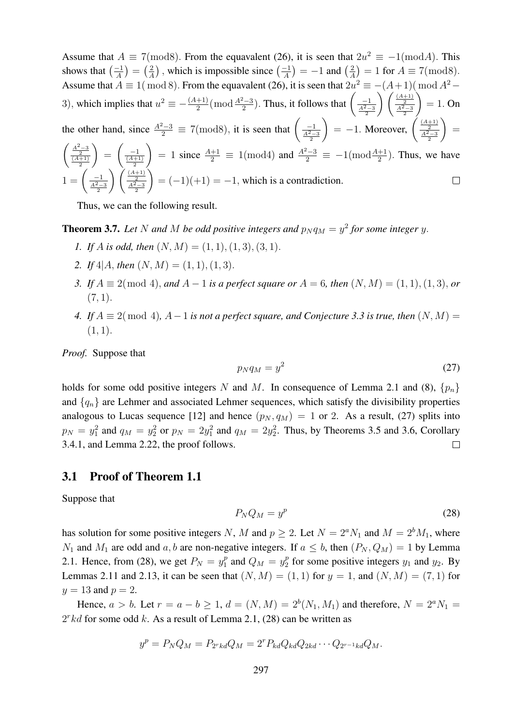Assume that  $A \equiv 7 \pmod{8}$ . From the equavalent (26), it is seen that  $2u^2 \equiv -1 \pmod{A}$ . This shows that  $\left(\frac{-1}{4}\right)$  $\frac{-1}{A}$ ) =  $\left(\frac{2}{A}\right)$  $\frac{2}{A}$ ), which is impossible since  $\left(\frac{-1}{A}\right)$  $\frac{-1}{A}$ ) = -1 and  $\left(\frac{2}{A}\right)$  $\left(\frac{2}{A}\right) = 1$  for  $A \equiv 7 \pmod{8}$ . Assume that  $A \equiv 1 \pmod{8}$ . From the equavalent (26), it is seen that  $2u^2 \equiv -(A+1) \pmod{A^2}$ 3), which implies that  $u^2 \equiv -\frac{(A+1)}{2}$  $\frac{1}{2}$ (mod  $\frac{A^2-3}{2}$ ). Thus, it follows that  $\left(\frac{-1}{\frac{A^2-3}{2}}\right)$  $\binom{\frac{(A+1)}{2}}{\frac{A^2-3}{2}}$  $\setminus$  $= 1.$  On the other hand, since  $\frac{A^2-3}{2} \equiv 7 \pmod{8}$ , it is seen that  $\left(\frac{-1}{\frac{A^2-3}{2}}\right)$  $= -1.$  Moreover,  $\left(\frac{\frac{(A+1)}{2}}{\frac{A^2-3}{2}}\right)$  $\setminus$ =  $\frac{\frac{A^2-3}{2}}{\frac{(A+1)}{2}}$  $\setminus$ =  $\left(\frac{-1}{\frac{(A+1)}{2}}\right)$ ) = 1 since  $\frac{A+1}{2}$  ≡ 1(mod4) and  $\frac{A^2-3}{2}$  ≡ −1(mod $\frac{A+1}{2}$ ). Thus, we have  $1 = \left(\frac{-1}{\frac{A^2-3}{2}}\right)$  $\frac{\frac{(A+1)}{2}}{\frac{A^2-3}{2}}$  $\setminus$  $= (-1)(+1) = -1$ , which is a contradiction.

Thus, we can the following result.

**Theorem 3.7.** Let N and M be odd positive integers and  $p_N q_M = y^2$  for some integer y.

- *1.* If *A* is odd, then  $(N, M) = (1, 1), (1, 3), (3, 1)$ .
- 2. If  $4|A$ , *then*  $(N, M) = (1, 1), (1, 3)$ .
- *3. If*  $A \equiv 2 \pmod{4}$ , *and*  $A 1$  *is a perfect square or*  $A = 6$ , *then*  $(N, M) = (1, 1), (1, 3)$ , *or*  $(7, 1)$ .
- *4.* If  $A \equiv 2 \pmod{4}$ ,  $A-1$  is not a perfect square, and Conjecture 3.3 is true, then  $(N, M)$  $(1, 1).$

*Proof.* Suppose that

$$
p_N q_M = y^2 \tag{27}
$$

holds for some odd positive integers N and M. In consequence of Lemma 2.1 and (8),  $\{p_n\}$ and  $\{q_n\}$  are Lehmer and associated Lehmer sequences, which satisfy the divisibility properties analogous to Lucas sequence [12] and hence  $(p_N, q_M) = 1$  or 2. As a result, (27) splits into  $p_N = y_1^2$  and  $q_M = y_2^2$  or  $p_N = 2y_1^2$  and  $q_M = 2y_2^2$ . Thus, by Theorems 3.5 and 3.6, Corollary 3.4.1, and Lemma 2.22, the proof follows.  $\Box$ 

#### 3.1 Proof of Theorem 1.1

Suppose that

$$
P_N Q_M = y^p \tag{28}
$$

has solution for some positive integers N, M and  $p \ge 2$ . Let  $N = 2^a N_1$  and  $M = 2^b M_1$ , where  $N_1$  and  $M_1$  are odd and a, b are non-negative integers. If  $a \leq b$ , then  $(P_N, Q_M) = 1$  by Lemma 2.1. Hence, from (28), we get  $P_N = y_1^p$  $q_1^p$  and  $Q_M = y_2^p$  $y_2^p$  for some positive integers  $y_1$  and  $y_2$ . By Lemmas 2.11 and 2.13, it can be seen that  $(N, M) = (1, 1)$  for  $y = 1$ , and  $(N, M) = (7, 1)$  for  $y = 13$  and  $p = 2$ .

Hence,  $a > b$ . Let  $r = a - b \ge 1$ ,  $d = (N, M) = 2^{b}(N_1, M_1)$  and therefore,  $N = 2^{a} N_1 =$  $2<sup>r</sup>kd$  for some odd k. As a result of Lemma 2.1, (28) can be written as

$$
y^p = P_N Q_M = P_{2rkd} Q_M = 2^r P_{kd} Q_{kd} Q_{2kd} \cdots Q_{2r-1kd} Q_M.
$$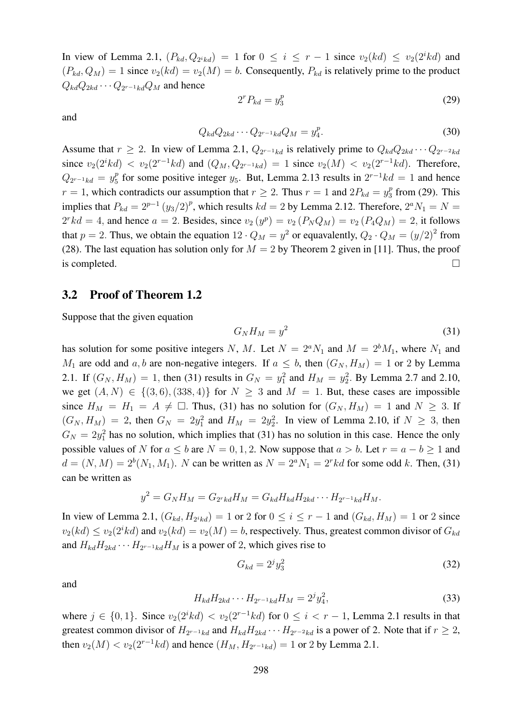In view of Lemma 2.1,  $(P_{kd}, Q_{2ikd}) = 1$  for  $0 \le i \le r - 1$  since  $v_2(kd) \le v_2(2ikd)$  and  $(P_{kd}, Q_M) = 1$  since  $v_2(kd) = v_2(M) = b$ . Consequently,  $P_{kd}$  is relatively prime to the product  $Q_{kd}Q_{2kd}\cdots Q_{2^{r-1}kd}Q_M$  and hence

and

$$
2^r P_{kd} = y_3^p \tag{29}
$$

$$
Q_{kd}Q_{2kd}\cdots Q_{2^{r-1}kd}Q_M = y_4^p. \tag{30}
$$

Assume that  $r \geq 2$ . In view of Lemma 2.1,  $Q_{2r-1kd}$  is relatively prime to  $Q_{kd}Q_{2kd} \cdots Q_{2r-2kd}$ since  $v_2(2^ikd) < v_2(2^{r-1}kd)$  and  $(Q_M, Q_{2^{r-1}kd) = 1$  since  $v_2(M) < v_2(2^{r-1}kd)$ . Therefore,  $Q_{2^{r-1}kd} = y_5^p$  $_5^p$  for some positive integer  $y_5$ . But, Lemma 2.13 results in  $2^{r-1}kd = 1$  and hence  $r = 1$ , which contradicts our assumption that  $r \ge 2$ . Thus  $r = 1$  and  $2P_{kd} = y_3^p$  $\frac{p}{3}$  from (29). This implies that  $P_{kd} = 2^{p-1} (y_3/2)^p$ , which results  $kd = 2$  by Lemma 2.12. Therefore,  $2^a N_1 = N =$  $2rk d = 4$ , and hence  $a = 2$ . Besides, since  $v_2(y^p) = v_2(P_N Q_M) = v_2(P_4 Q_M) = 2$ , it follows that  $p = 2$ . Thus, we obtain the equation  $12 \cdot Q_M = y^2$  or equavalently,  $Q_2 \cdot Q_M = (y/2)^2$  from (28). The last equation has solution only for  $M = 2$  by Theorem 2 given in [11]. Thus, the proof is completed.  $\Box$ 

#### 3.2 Proof of Theorem 1.2

Suppose that the given equation

$$
G_N H_M = y^2 \tag{31}
$$

has solution for some positive integers N, M. Let  $N = 2^a N_1$  and  $M = 2^b M_1$ , where  $N_1$  and  $M_1$  are odd and a, b are non-negative integers. If  $a \leq b$ , then  $(G_N, H_M) = 1$  or 2 by Lemma 2.1. If  $(G_N, H_M) = 1$ , then (31) results in  $G_N = y_1^2$  and  $H_M = y_2^2$ . By Lemma 2.7 and 2.10, we get  $(A, N) \in \{(3, 6), (338, 4)\}\$ for  $N \geq 3$  and  $M = 1$ . But, these cases are impossible since  $H_M = H_1 = A \neq \square$ . Thus, (31) has no solution for  $(G_N, H_M) = 1$  and  $N \geq 3$ . If  $(G_N, H_M) = 2$ , then  $G_N = 2y_1^2$  and  $H_M = 2y_2^2$ . In view of Lemma 2.10, if  $N \geq 3$ , then  $G_N = 2y_1^2$  has no solution, which implies that (31) has no solution in this case. Hence the only possible values of N for  $a \le b$  are  $N = 0, 1, 2$ . Now suppose that  $a > b$ . Let  $r = a - b > 1$  and  $d = (N, M) = 2<sup>b</sup>(N<sub>1</sub>, M<sub>1</sub>)$ . N can be written as  $N = 2<sup>a</sup>N<sub>1</sub> = 2<sup>r</sup>kd$  for some odd k. Then, (31) can be written as

$$
y^2 = G_N H_M = G_{2rkd} H_M = G_{kd} H_{kd} H_{2kd} \cdots H_{2r-1kd} H_M.
$$

In view of Lemma 2.1,  $(G_{kd}, H_{2^ikd}) = 1$  or 2 for  $0 \le i \le r - 1$  and  $(G_{kd}, H_M) = 1$  or 2 since  $v_2(kd) \le v_2(2^ikd)$  and  $v_2(kd) = v_2(M) = b$ , respectively. Thus, greatest common divisor of  $G_{kd}$ and  $H_{kd}H_{2kd} \cdots H_{2r-1kd}H_M$  is a power of 2, which gives rise to

$$
G_{kd} = 2^j y_3^2 \tag{32}
$$

and

$$
H_{kd}H_{2kd}\cdots H_{2^{r-1}kd}H_M=2^j y_4^2,
$$
\n(33)

where  $j \in \{0, 1\}$ . Since  $v_2(2^i k d) < v_2(2^{r-1} k d)$  for  $0 \le i < r-1$ , Lemma 2.1 results in that greatest common divisor of  $H_{2r-1kd}$  and  $H_{kd}H_{2kd} \cdots H_{2r-2kd}$  is a power of 2. Note that if  $r \geq 2$ , then  $v_2(M) < v_2(2^{r-1}kd)$  and hence  $(H_M, H_{2^{r-1}kd}) = 1$  or 2 by Lemma 2.1.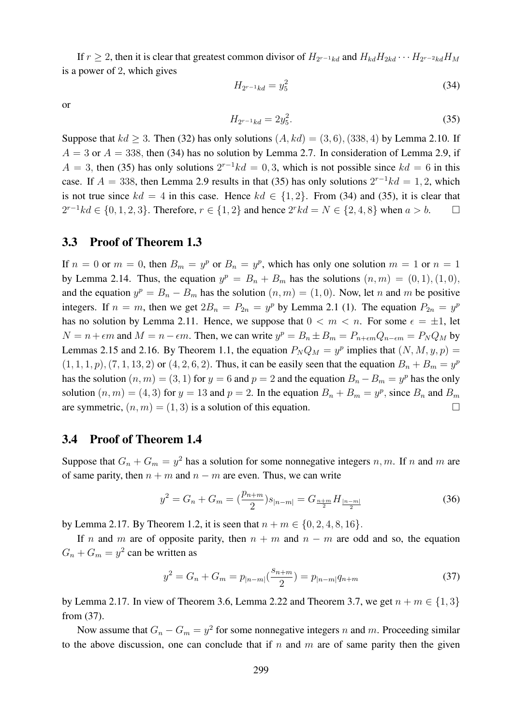If  $r \geq 2$ , then it is clear that greatest common divisor of  $H_{2^{r-1}kd}$  and  $H_{kd}H_{2kd} \cdots H_{2^{r-2}kd}H_M$ is a power of 2, which gives

$$
H_{2^{r-1}kd} = y_5^2 \tag{34}
$$

or

$$
H_{2^{r-1}kd} = 2y_5^2.
$$
\n(35)

Suppose that  $kd > 3$ . Then (32) has only solutions  $(A, kd) = (3, 6)$ , (338, 4) by Lemma 2.10. If  $A = 3$  or  $A = 338$ , then (34) has no solution by Lemma 2.7. In consideration of Lemma 2.9, if  $A = 3$ , then (35) has only solutions  $2^{r-1}kd = 0,3$ , which is not possible since  $kd = 6$  in this case. If  $A = 338$ , then Lemma 2.9 results in that (35) has only solutions  $2^{r-1}kd = 1, 2$ , which is not true since  $kd = 4$  in this case. Hence  $kd \in \{1, 2\}$ . From (34) and (35), it is clear that  $2^{r-1}kd \in \{0, 1, 2, 3\}$ . Therefore,  $r \in \{1, 2\}$  and hence  $2^rkd = N \in \{2, 4, 8\}$  when  $a > b$ . □

#### 3.3 Proof of Theorem 1.3

If  $n = 0$  or  $m = 0$ , then  $B_m = y^p$  or  $B_n = y^p$ , which has only one solution  $m = 1$  or  $n = 1$ by Lemma 2.14. Thus, the equation  $y^p = B_n + B_m$  has the solutions  $(n, m) = (0, 1), (1, 0),$ and the equation  $y^p = B_n - B_m$  has the solution  $(n, m) = (1, 0)$ . Now, let n and m be positive integers. If  $n = m$ , then we get  $2B_n = P_{2n} = y^p$  by Lemma 2.1 (1). The equation  $P_{2n} = y^p$ has no solution by Lemma 2.11. Hence, we suppose that  $0 < m < n$ . For some  $\epsilon = \pm 1$ , let  $N = n + \epsilon m$  and  $M = n - \epsilon m$ . Then, we can write  $y^p = B_n \pm B_m = P_{n+\epsilon m} Q_{n-\epsilon m} = P_N Q_M$  by Lemmas 2.15 and 2.16. By Theorem 1.1, the equation  $P_N Q_M = y^p$  implies that  $(N, M, y, p) =$  $(1, 1, 1, p), (7, 1, 13, 2)$  or  $(4, 2, 6, 2)$ . Thus, it can be easily seen that the equation  $B_n + B_m = y^p$ has the solution  $(n, m) = (3, 1)$  for  $y = 6$  and  $p = 2$  and the equation  $B_n - B_m = y^p$  has the only solution  $(n, m) = (4, 3)$  for  $y = 13$  and  $p = 2$ . In the equation  $B_n + B_m = y^p$ , since  $B_n$  and  $B_m$ are symmetric,  $(n, m) = (1, 3)$  is a solution of this equation.

### 3.4 Proof of Theorem 1.4

Suppose that  $G_n + G_m = y^2$  has a solution for some nonnegative integers n, m. If n and m are of same parity, then  $n + m$  and  $n - m$  are even. Thus, we can write

$$
y^{2} = G_{n} + G_{m} = \left(\frac{p_{n+m}}{2}\right) s_{|n-m|} = G_{\frac{n+m}{2}} H_{\frac{|n-m|}{2}}
$$
(36)

by Lemma 2.17. By Theorem 1.2, it is seen that  $n + m \in \{0, 2, 4, 8, 16\}$ .

If n and m are of opposite parity, then  $n + m$  and  $n - m$  are odd and so, the equation  $G_n + G_m = y^2$  can be written as

$$
y^{2} = G_{n} + G_{m} = p_{|n-m|} \left(\frac{s_{n+m}}{2}\right) = p_{|n-m|} q_{n+m}
$$
\n(37)

by Lemma 2.17. In view of Theorem 3.6, Lemma 2.22 and Theorem 3.7, we get  $n + m \in \{1, 3\}$ from (37).

Now assume that  $G_n - G_m = y^2$  for some nonnegative integers n and m. Proceeding similar to the above discussion, one can conclude that if  $n$  and  $m$  are of same parity then the given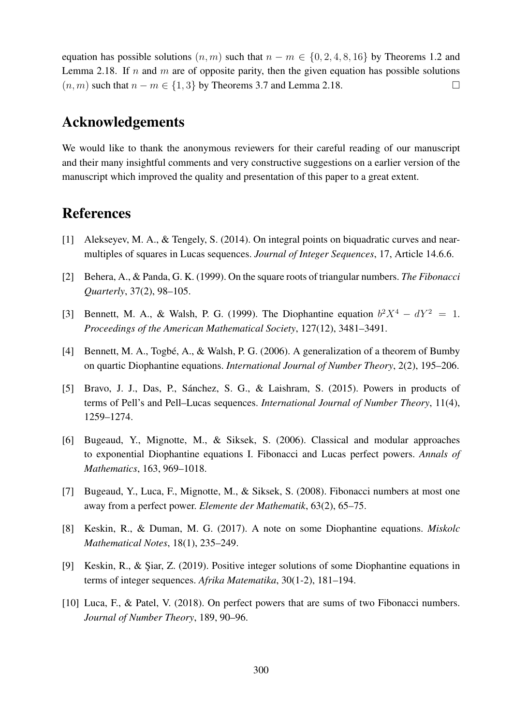equation has possible solutions  $(n, m)$  such that  $n - m \in \{0, 2, 4, 8, 16\}$  by Theorems 1.2 and Lemma 2.18. If n and m are of opposite parity, then the given equation has possible solutions  $(n, m)$  such that  $n - m \in \{1, 3\}$  by Theorems 3.7 and Lemma 2.18.

## Acknowledgements

We would like to thank the anonymous reviewers for their careful reading of our manuscript and their many insightful comments and very constructive suggestions on a earlier version of the manuscript which improved the quality and presentation of this paper to a great extent.

### References

- [1] Alekseyev, M. A., & Tengely, S. (2014). On integral points on biquadratic curves and nearmultiples of squares in Lucas sequences. *Journal of Integer Sequences*, 17, Article 14.6.6.
- [2] Behera, A., & Panda, G. K. (1999). On the square roots of triangular numbers. *The Fibonacci Quarterly*, 37(2), 98–105.
- [3] Bennett, M. A., & Walsh, P. G. (1999). The Diophantine equation  $b^2X^4 dY^2 = 1$ . *Proceedings of the American Mathematical Society*, 127(12), 3481–3491.
- [4] Bennett, M. A., Togbé, A., & Walsh, P. G. (2006). A generalization of a theorem of Bumby on quartic Diophantine equations. *International Journal of Number Theory*, 2(2), 195–206.
- [5] Bravo, J. J., Das, P., Sánchez, S. G., & Laishram, S. (2015). Powers in products of terms of Pell's and Pell–Lucas sequences. *International Journal of Number Theory*, 11(4), 1259–1274.
- [6] Bugeaud, Y., Mignotte, M., & Siksek, S. (2006). Classical and modular approaches to exponential Diophantine equations I. Fibonacci and Lucas perfect powers. *Annals of Mathematics*, 163, 969–1018.
- [7] Bugeaud, Y., Luca, F., Mignotte, M., & Siksek, S. (2008). Fibonacci numbers at most one away from a perfect power. *Elemente der Mathematik*, 63(2), 65–75.
- [8] Keskin, R., & Duman, M. G. (2017). A note on some Diophantine equations. *Miskolc Mathematical Notes*, 18(1), 235–249.
- [9] Keskin, R., & Şiar, Z. (2019). Positive integer solutions of some Diophantine equations in terms of integer sequences. *Afrika Matematika*, 30(1-2), 181–194.
- [10] Luca, F., & Patel, V. (2018). On perfect powers that are sums of two Fibonacci numbers. *Journal of Number Theory*, 189, 90–96.